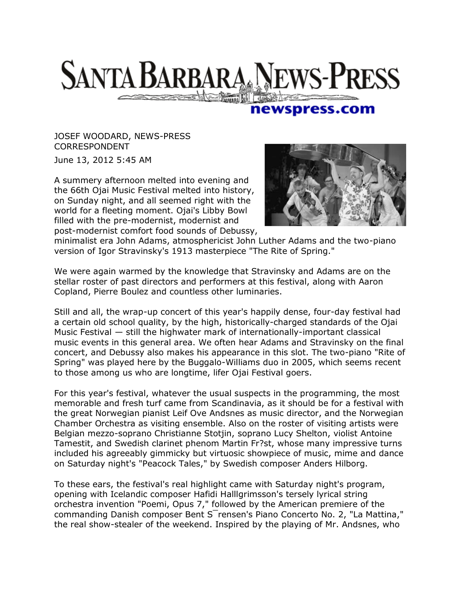## **SANTA BARBARA NEWS-PRESS**

## newspress.com

JOSEF WOODARD, NEWS-PRESS CORRESPONDENT

June 13, 2012 5:45 AM

A summery afternoon melted into evening and the 66th Ojai Music Festival melted into history, on Sunday night, and all seemed right with the world for a fleeting moment. Ojai's Libby Bowl filled with the pre-modernist, modernist and post-modernist comfort food sounds of Debussy,



minimalist era John Adams, atmosphericist John Luther Adams and the two-piano version of Igor Stravinsky's 1913 masterpiece "The Rite of Spring."

We were again warmed by the knowledge that Stravinsky and Adams are on the stellar roster of past directors and performers at this festival, along with Aaron Copland, Pierre Boulez and countless other luminaries.

Still and all, the wrap-up concert of this year's happily dense, four-day festival had a certain old school quality, by the high, historically-charged standards of the Ojai Music Festival — still the highwater mark of internationally-important classical music events in this general area. We often hear Adams and Stravinsky on the final concert, and Debussy also makes his appearance in this slot. The two-piano "Rite of Spring" was played here by the Buggalo-Williams duo in 2005, which seems recent to those among us who are longtime, lifer Ojai Festival goers.

For this year's festival, whatever the usual suspects in the programming, the most memorable and fresh turf came from Scandinavia, as it should be for a festival with the great Norwegian pianist Leif Ove Andsnes as music director, and the Norwegian Chamber Orchestra as visiting ensemble. Also on the roster of visiting artists were Belgian mezzo-soprano Christianne Stotjin, soprano Lucy Shelton, violist Antoine Tamestit, and Swedish clarinet phenom Martin Fr?st, whose many impressive turns included his agreeably gimmicky but virtuosic showpiece of music, mime and dance on Saturday night's "Peacock Tales," by Swedish composer Anders Hilborg.

To these ears, the festival's real highlight came with Saturday night's program, opening with Icelandic composer Hafidi Halllgrimsson's tersely lyrical string orchestra invention "Poemi, Opus 7," followed by the American premiere of the commanding Danish composer Bent S¯rensen's Piano Concerto No. 2, "La Mattina," the real show-stealer of the weekend. Inspired by the playing of Mr. Andsnes, who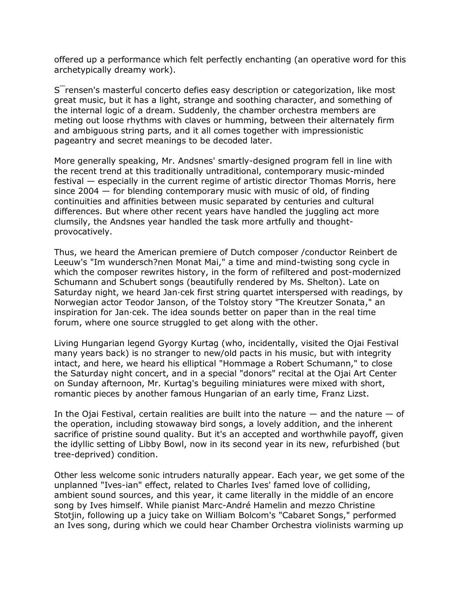offered up a performance which felt perfectly enchanting (an operative word for this archetypically dreamy work).

S¯rensen's masterful concerto defies easy description or categorization, like most great music, but it has a light, strange and soothing character, and something of the internal logic of a dream. Suddenly, the chamber orchestra members are meting out loose rhythms with claves or humming, between their alternately firm and ambiguous string parts, and it all comes together with impressionistic pageantry and secret meanings to be decoded later.

More generally speaking, Mr. Andsnes' smartly-designed program fell in line with the recent trend at this traditionally untraditional, contemporary music-minded festival — especially in the current regime of artistic director Thomas Morris, here since  $2004 -$  for blending contemporary music with music of old, of finding continuities and affinities between music separated by centuries and cultural differences. But where other recent years have handled the juggling act more clumsily, the Andsnes year handled the task more artfully and thoughtprovocatively.

Thus, we heard the American premiere of Dutch composer /conductor Reinbert de Leeuw's "Im wundersch?nen Monat Mai," a time and mind-twisting song cycle in which the composer rewrites history, in the form of refiltered and post-modernized Schumann and Schubert songs (beautifully rendered by Ms. Shelton). Late on Saturday night, we heard Jan·cek first string quartet interspersed with readings, by Norwegian actor Teodor Janson, of the Tolstoy story "The Kreutzer Sonata," an inspiration for Jan·cek. The idea sounds better on paper than in the real time forum, where one source struggled to get along with the other.

Living Hungarian legend Gyorgy Kurtag (who, incidentally, visited the Ojai Festival many years back) is no stranger to new/old pacts in his music, but with integrity intact, and here, we heard his elliptical "Hommage a Robert Schumann," to close the Saturday night concert, and in a special "donors" recital at the Ojai Art Center on Sunday afternoon, Mr. Kurtag's beguiling miniatures were mixed with short, romantic pieces by another famous Hungarian of an early time, Franz Lizst.

In the Ojai Festival, certain realities are built into the nature  $-$  and the nature  $-$  of the operation, including stowaway bird songs, a lovely addition, and the inherent sacrifice of pristine sound quality. But it's an accepted and worthwhile payoff, given the idyllic setting of Libby Bowl, now in its second year in its new, refurbished (but tree-deprived) condition.

Other less welcome sonic intruders naturally appear. Each year, we get some of the unplanned "Ives-ian" effect, related to Charles Ives' famed love of colliding, ambient sound sources, and this year, it came literally in the middle of an encore song by Ives himself. While pianist Marc-André Hamelin and mezzo Christine Stotjin, following up a juicy take on William Bolcom's "Cabaret Songs," performed an Ives song, during which we could hear Chamber Orchestra violinists warming up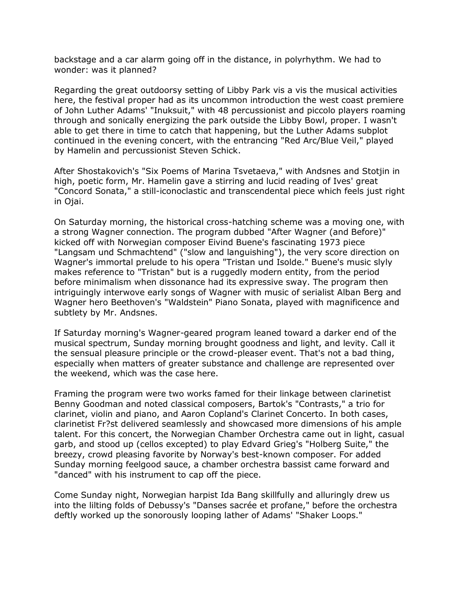backstage and a car alarm going off in the distance, in polyrhythm. We had to wonder: was it planned?

Regarding the great outdoorsy setting of Libby Park vis a vis the musical activities here, the festival proper had as its uncommon introduction the west coast premiere of John Luther Adams' "Inuksuit," with 48 percussionist and piccolo players roaming through and sonically energizing the park outside the Libby Bowl, proper. I wasn't able to get there in time to catch that happening, but the Luther Adams subplot continued in the evening concert, with the entrancing "Red Arc/Blue Veil," played by Hamelin and percussionist Steven Schick.

After Shostakovich's "Six Poems of Marina Tsvetaeva," with Andsnes and Stotjin in high, poetic form, Mr. Hamelin gave a stirring and lucid reading of Ives' great "Concord Sonata," a still-iconoclastic and transcendental piece which feels just right in Ojai.

On Saturday morning, the historical cross-hatching scheme was a moving one, with a strong Wagner connection. The program dubbed "After Wagner (and Before)" kicked off with Norwegian composer Eivind Buene's fascinating 1973 piece "Langsam und Schmachtend" ("slow and languishing"), the very score direction on Wagner's immortal prelude to his opera "Tristan und Isolde." Buene's music slyly makes reference to "Tristan" but is a ruggedly modern entity, from the period before minimalism when dissonance had its expressive sway. The program then intriguingly interwove early songs of Wagner with music of serialist Alban Berg and Wagner hero Beethoven's "Waldstein" Piano Sonata, played with magnificence and subtlety by Mr. Andsnes.

If Saturday morning's Wagner-geared program leaned toward a darker end of the musical spectrum, Sunday morning brought goodness and light, and levity. Call it the sensual pleasure principle or the crowd-pleaser event. That's not a bad thing, especially when matters of greater substance and challenge are represented over the weekend, which was the case here.

Framing the program were two works famed for their linkage between clarinetist Benny Goodman and noted classical composers, Bartok's "Contrasts," a trio for clarinet, violin and piano, and Aaron Copland's Clarinet Concerto. In both cases, clarinetist Fr?st delivered seamlessly and showcased more dimensions of his ample talent. For this concert, the Norwegian Chamber Orchestra came out in light, casual garb, and stood up (cellos excepted) to play Edvard Grieg's "Holberg Suite," the breezy, crowd pleasing favorite by Norway's best-known composer. For added Sunday morning feelgood sauce, a chamber orchestra bassist came forward and "danced" with his instrument to cap off the piece.

Come Sunday night, Norwegian harpist Ida Bang skillfully and alluringly drew us into the lilting folds of Debussy's "Danses sacrée et profane," before the orchestra deftly worked up the sonorously looping lather of Adams' "Shaker Loops."